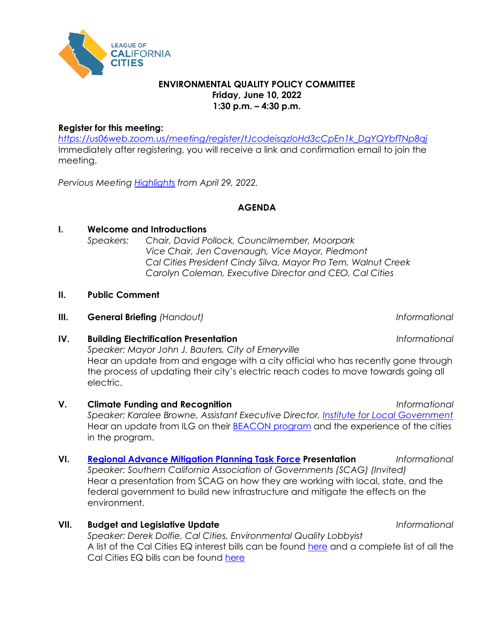

#### **ENVIRONMENTAL QUALITY POLICY COMMITTEE Friday, June 10, 2022 1:30 p.m. – 4:30 p.m.**

#### **Register for this meeting:**

*[https://us06web.zoom.us/meeting/register/tJcodeisqzIoHd3cCpEn1k\\_DgYQYbfTNp8qj](https://us06web.zoom.us/meeting/register/tJcodeisqzIoHd3cCpEn1k_DgYQYbfTNp8qj)* Immediately after registering, you will receive a link and confirmation email to join the meeting.

*Pervious Meeting [Highlights](https://cacities-my.sharepoint.com/:b:/g/personal/ddolfie_cacities_org/ET0gkjOPcK9EhofkMsE-O40B_c-ABEQCgLZ4u_wJby38Bw?e=3qtssX) from April 29, 2022.*

# **AGENDA**

# **I. Welcome and Introductions**

*Speakers: Chair, David Pollock, Councilmember, Moorpark Vice Chair, Jen Cavenaugh, Vice Mayor, Piedmont Cal Cities President Cindy Silva, Mayor Pro Tem, Walnut Creek Carolyn Coleman, Executive Director and CEO, Cal Cities*

### **II. Public Comment**

**III. General Briefing** *(Handout)* **Informational** 

# **IV. Building Electrification Presentation** *Informational*

*Speaker: Mayor John J. Bauters, City of Emeryville* Hear an update from and engage with a city official who has recently gone through the process of updating their city's electric reach codes to move towards going all electric.

- **V. Climate Funding and Recognition** *Informational Speaker: Karalee Browne, Assistant Executive Director, [Institute for Local Government](https://www.ca-ilg.org/)* Hear an update from ILG on their [BEACON program](https://www.ca-ilg.org/beacon-program) and the experience of the cities in the program.
- **VI. [Regional Advance Mitigation Planning Task Force](https://scag.ca.gov/ramp-atg) Presentation** *Informational Speaker: Southern California Association of Governments (SCAG) (Invited)* Hear a presentation from SCAG on how they are working with local, state, and the federal government to build new infrastructure and mitigate the effects on the environment.
- **VII. Budget and Legislative Update** *Informational*

*Speaker: Derek Dolfie, Cal Cities, Environmental Quality Lobbyist* A list of the Cal Cities EQ interest bills can be found [here](https://ctweb.capitoltrack.com/public/publish.aspx?session=21&id=b69906ac-76c8-4237-809c-6f84648e5825) and a complete list of all the Cal Cities EQ bills can be found [here](https://ctweb.capitoltrack.com/public/publish.aspx?session=21&id=756dabd6-e4ca-4456-907d-a8011ffb2529)